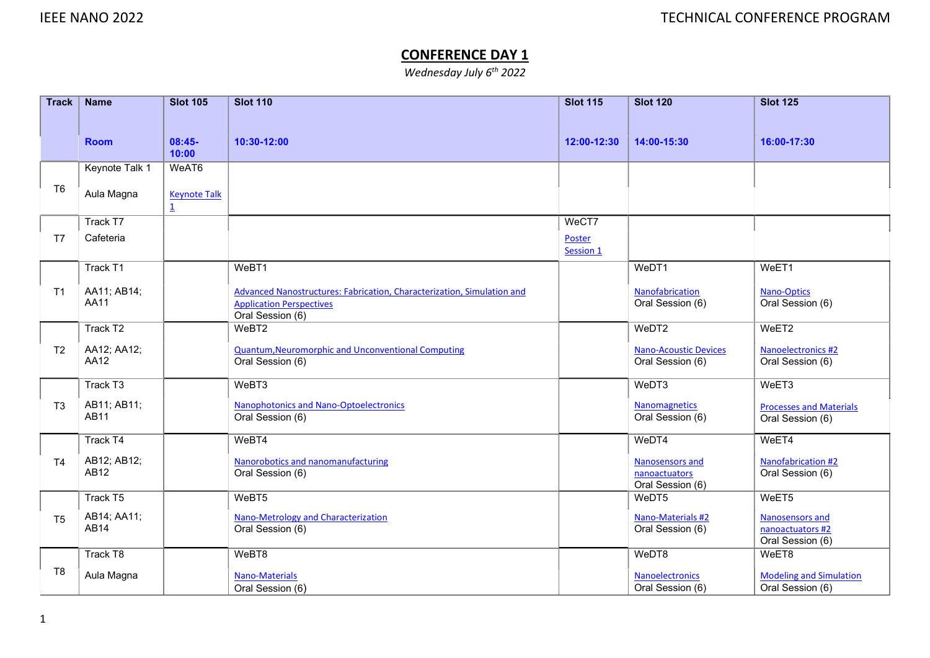## CONFERENCE DAY 1

Wednesday July 6<sup>th</sup> 2022

| <b>Track</b>   | <b>Name</b>                | <b>Slot 105</b>                       | <b>Slot 110</b>                                                                                                               | <b>Slot 115</b>     | <b>Slot 120</b>                                      | <b>Slot 125</b>                                                |
|----------------|----------------------------|---------------------------------------|-------------------------------------------------------------------------------------------------------------------------------|---------------------|------------------------------------------------------|----------------------------------------------------------------|
|                |                            |                                       |                                                                                                                               |                     |                                                      |                                                                |
|                | <b>Room</b>                | $08:45-$<br>10:00                     | 10:30-12:00                                                                                                                   | 12:00-12:30         | 14:00-15:30                                          | 16:00-17:30                                                    |
|                | Keynote Talk 1             | WeAT6                                 |                                                                                                                               |                     |                                                      |                                                                |
| T <sub>6</sub> | Aula Magna                 | <b>Keynote Talk</b><br>$\overline{1}$ |                                                                                                                               |                     |                                                      |                                                                |
|                | Track T7                   |                                       |                                                                                                                               | WeCT7               |                                                      |                                                                |
| T7             | Cafeteria                  |                                       |                                                                                                                               | Poster<br>Session 1 |                                                      |                                                                |
|                | Track T1                   |                                       | WeBT1                                                                                                                         |                     | WeDT1                                                | WeET1                                                          |
| T1             | AA11; AB14;<br>AA11        |                                       | Advanced Nanostructures: Fabrication, Characterization, Simulation and<br><b>Application Perspectives</b><br>Oral Session (6) |                     | Nanofabrication<br>Oral Session (6)                  | Nano-Optics<br>Oral Session (6)                                |
|                | Track T2                   |                                       | WeBT2                                                                                                                         |                     | WeDT2                                                | WeET2                                                          |
| T <sub>2</sub> | AA12; AA12;<br>AA12        |                                       | Quantum, Neuromorphic and Unconventional Computing<br>Oral Session (6)                                                        |                     | <b>Nano-Acoustic Devices</b><br>Oral Session (6)     | Nanoelectronics #2<br>Oral Session (6)                         |
|                | Track T3                   |                                       | WeBT3                                                                                                                         |                     | WeDT3                                                | WeET3                                                          |
| T <sub>3</sub> | AB11; AB11;<br>AB11        |                                       | Nanophotonics and Nano-Optoelectronics<br>Oral Session (6)                                                                    |                     | <b>Nanomagnetics</b><br>Oral Session (6)             | <b>Processes and Materials</b><br>Oral Session (6)             |
|                | Track T4                   |                                       | WeBT4                                                                                                                         |                     | WeDT4                                                | WeET4                                                          |
| T <sub>4</sub> | AB12; AB12;<br>AB12        |                                       | Nanorobotics and nanomanufacturing<br>Oral Session (6)                                                                        |                     | Nanosensors and<br>nanoactuators<br>Oral Session (6) | Nanofabrication #2<br>Oral Session (6)                         |
|                | Track T5                   |                                       | WeBT5                                                                                                                         |                     | WeDT5                                                | WeET <sub>5</sub>                                              |
| T <sub>5</sub> | AB14; AA11;<br><b>AB14</b> |                                       | Nano-Metrology and Characterization<br>Oral Session (6)                                                                       |                     | Nano-Materials #2<br>Oral Session (6)                | <b>Nanosensors and</b><br>nanoactuators #2<br>Oral Session (6) |
|                | Track T8                   |                                       | WeBT8                                                                                                                         |                     | WeDT8                                                | WeET8                                                          |
| T <sub>8</sub> | Aula Magna                 |                                       | Nano-Materials<br>Oral Session (6)                                                                                            |                     | <b>Nanoelectronics</b><br>Oral Session (6)           | <b>Modeling and Simulation</b><br>Oral Session (6)             |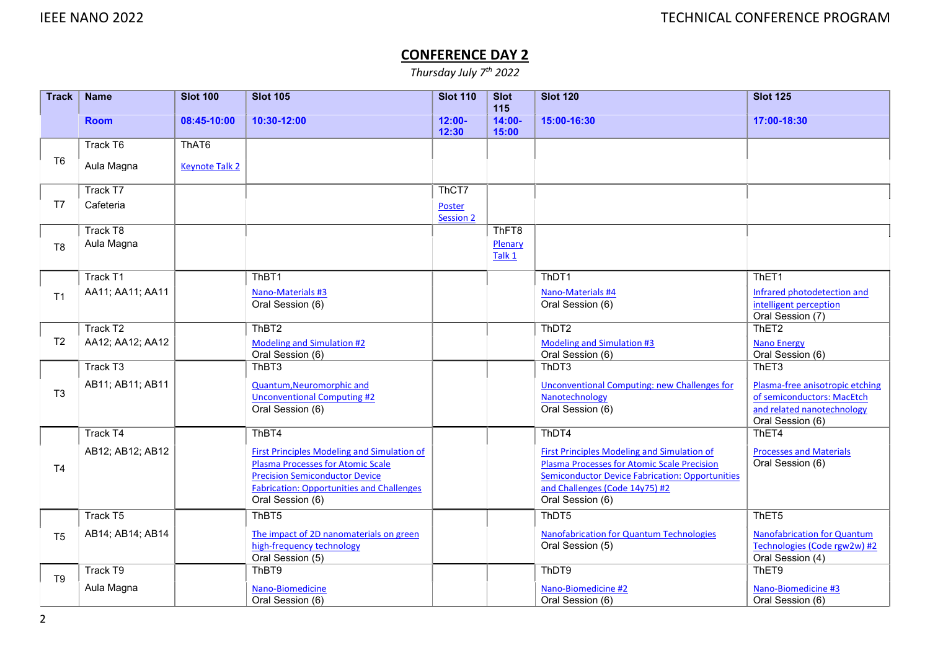## CONFERENCE DAY 2

Thursday July 7th 2022

| <b>Track</b>   | <b>Name</b>          | <b>Slot 100</b>       | <b>Slot 105</b>                                                      | <b>Slot 110</b>            | <b>Slot</b>               | <b>Slot 120</b>                                        | <b>Slot 125</b>                                          |
|----------------|----------------------|-----------------------|----------------------------------------------------------------------|----------------------------|---------------------------|--------------------------------------------------------|----------------------------------------------------------|
|                | <b>Room</b>          | 08:45-10:00           | 10:30-12:00                                                          | $12:00 -$<br>12:30         | 115<br>$14:00 -$<br>15:00 | 15:00-16:30                                            | 17:00-18:30                                              |
|                | Track T6             | ThAT6                 |                                                                      |                            |                           |                                                        |                                                          |
| T <sub>6</sub> | Aula Magna           | <b>Keynote Talk 2</b> |                                                                      |                            |                           |                                                        |                                                          |
|                | Track T7             |                       |                                                                      | ThCT7                      |                           |                                                        |                                                          |
| T7             | Cafeteria            |                       |                                                                      | Poster<br><b>Session 2</b> |                           |                                                        |                                                          |
|                | Track T8             |                       |                                                                      |                            | ThFT8                     |                                                        |                                                          |
| T <sub>8</sub> | Aula Magna           |                       |                                                                      |                            | Plenary                   |                                                        |                                                          |
|                |                      |                       |                                                                      |                            | Talk 1                    |                                                        |                                                          |
|                | Track T1             |                       | ThBT1                                                                |                            |                           | ThDT1                                                  | ThET <sub>1</sub>                                        |
| T <sub>1</sub> | AA11; AA11; AA11     |                       | Nano-Materials #3                                                    |                            |                           | Nano-Materials #4                                      | Infrared photodetection and                              |
|                |                      |                       | Oral Session (6)                                                     |                            |                           | Oral Session (6)                                       | intelligent perception<br>Oral Session (7)               |
|                | Track T <sub>2</sub> |                       | ThBT <sub>2</sub>                                                    |                            |                           | ThDT <sub>2</sub>                                      | ThET <sub>2</sub>                                        |
| T <sub>2</sub> | AA12; AA12; AA12     |                       | Modeling and Simulation #2                                           |                            |                           | <b>Modeling and Simulation #3</b>                      | <b>Nano Energy</b>                                       |
|                |                      |                       | Oral Session (6)                                                     |                            |                           | Oral Session (6)                                       | Oral Session (6)                                         |
|                | Track T3             |                       | ThBT3                                                                |                            |                           | ThDT3                                                  | ThET3                                                    |
| T <sub>3</sub> | AB11; AB11; AB11     |                       | Quantum, Neuromorphic and                                            |                            |                           | <b>Unconventional Computing: new Challenges for</b>    | Plasma-free anisotropic etching                          |
|                |                      |                       | <b>Unconventional Computing #2</b><br>Oral Session (6)               |                            |                           | Nanotechnology<br>Oral Session (6)                     | of semiconductors: MacEtch<br>and related nanotechnology |
|                |                      |                       |                                                                      |                            |                           |                                                        | Oral Session (6)                                         |
|                | Track T4             |                       | ThBT4                                                                |                            |                           | ThDT4                                                  | ThET4                                                    |
|                | AB12; AB12; AB12     |                       | <b>First Principles Modeling and Simulation of</b>                   |                            |                           | <b>First Principles Modeling and Simulation of</b>     | <b>Processes and Materials</b>                           |
| T <sub>4</sub> |                      |                       | <b>Plasma Processes for Atomic Scale</b>                             |                            |                           | <b>Plasma Processes for Atomic Scale Precision</b>     | Oral Session (6)                                         |
|                |                      |                       | <b>Precision Semiconductor Device</b>                                |                            |                           | <b>Semiconductor Device Fabrication: Opportunities</b> |                                                          |
|                |                      |                       | <b>Fabrication: Opportunities and Challenges</b><br>Oral Session (6) |                            |                           | and Challenges (Code 14y75) #2<br>Oral Session (6)     |                                                          |
|                | Track T5             |                       | ThBT5                                                                |                            |                           | ThDT5                                                  | ThET <sub>5</sub>                                        |
| T <sub>5</sub> | AB14; AB14; AB14     |                       | The impact of 2D nanomaterials on green                              |                            |                           | <b>Nanofabrication for Quantum Technologies</b>        | <b>Nanofabrication for Quantum</b>                       |
|                |                      |                       | high-frequency technology                                            |                            |                           | Oral Session (5)                                       | Technologies (Code rgw2w) #2                             |
|                |                      |                       | Oral Session (5)                                                     |                            |                           |                                                        | Oral Session (4)                                         |
| T <sub>9</sub> | Track T9             |                       | ThBT9                                                                |                            |                           | ThDT9                                                  | ThET9                                                    |
|                | Aula Magna           |                       | Nano-Biomedicine                                                     |                            |                           | Nano-Biomedicine #2                                    | Nano-Biomedicine #3                                      |
|                |                      |                       | Oral Session (6)                                                     |                            |                           | Oral Session (6)                                       | Oral Session (6)                                         |